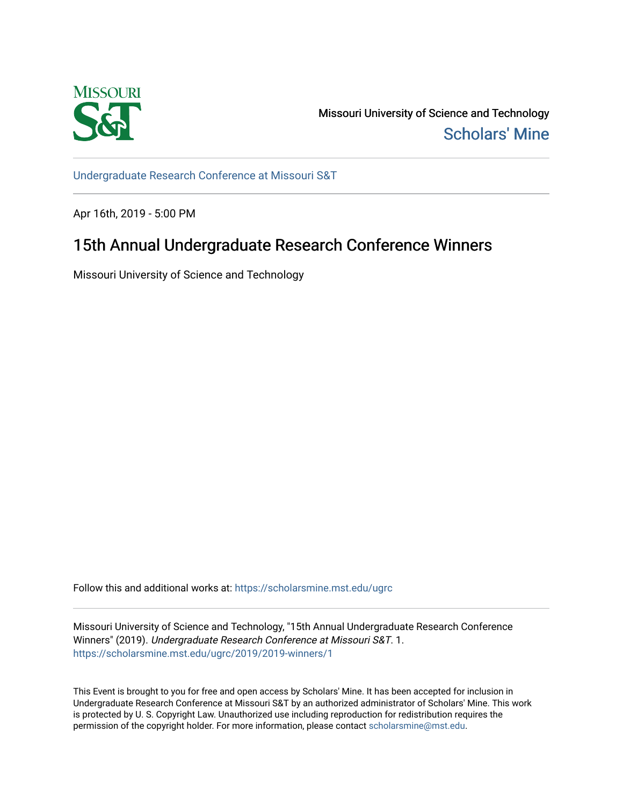

Missouri University of Science and Technology [Scholars' Mine](https://scholarsmine.mst.edu/) 

[Undergraduate Research Conference at Missouri S&T](https://scholarsmine.mst.edu/ugrc)

Apr 16th, 2019 - 5:00 PM

## 15th Annual Undergraduate Research Conference Winners

Missouri University of Science and Technology

Follow this and additional works at: [https://scholarsmine.mst.edu/ugrc](https://scholarsmine.mst.edu/ugrc?utm_source=scholarsmine.mst.edu%2Fugrc%2F2019%2F2019-winners%2F1&utm_medium=PDF&utm_campaign=PDFCoverPages) 

Missouri University of Science and Technology, "15th Annual Undergraduate Research Conference Winners" (2019). Undergraduate Research Conference at Missouri S&T. 1. [https://scholarsmine.mst.edu/ugrc/2019/2019-winners/1](https://scholarsmine.mst.edu/ugrc/2019/2019-winners/1?utm_source=scholarsmine.mst.edu%2Fugrc%2F2019%2F2019-winners%2F1&utm_medium=PDF&utm_campaign=PDFCoverPages) 

This Event is brought to you for free and open access by Scholars' Mine. It has been accepted for inclusion in Undergraduate Research Conference at Missouri S&T by an authorized administrator of Scholars' Mine. This work is protected by U. S. Copyright Law. Unauthorized use including reproduction for redistribution requires the permission of the copyright holder. For more information, please contact [scholarsmine@mst.edu](mailto:scholarsmine@mst.edu).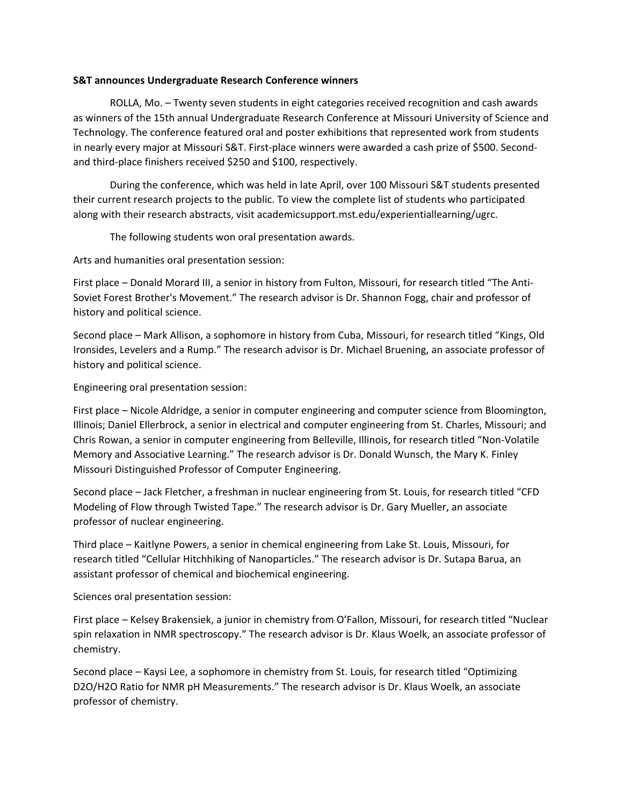## **S&T announces Undergraduate Research Conference winners**

 ROLLA, Mo. – Twenty seven students in eight categories received recognition and cash awards as winners of the 15th annual Undergraduate Research Conference at Missouri University of Science and Technology. The conference featured oral and poster exhibitions that represented work from students in nearly every major at Missouri S&T. First‐place winners were awarded a cash prize of \$500. Second‐ and third‐place finishers received \$250 and \$100, respectively.

 During the conference, which was held in late April, over 100 Missouri S&T students presented their current research projects to the public. To view the complete list of students who participated along with their research abstracts, visit academicsupport.mst.edu/experientiallearning/ugrc.

The following students won oral presentation awards.

Arts and humanities oral presentation session:

First place – Donald Morard III, a senior in history from Fulton, Missouri, for research titled "The Anti‐ Soviet Forest Brother's Movement." The research advisor is Dr. Shannon Fogg, chair and professor of history and political science.

Second place – Mark Allison, a sophomore in history from Cuba, Missouri, for research titled "Kings, Old Ironsides, Levelers and a Rump." The research advisor is Dr. Michael Bruening, an associate professor of history and political science.

Engineering oral presentation session:

First place – Nicole Aldridge, a senior in computer engineering and computer science from Bloomington, Illinois; Daniel Ellerbrock, a senior in electrical and computer engineering from St. Charles, Missouri; and Chris Rowan, a senior in computer engineering from Belleville, Illinois, for research titled "Non‐Volatile Memory and Associative Learning." The research advisor is Dr. Donald Wunsch, the Mary K. Finley Missouri Distinguished Professor of Computer Engineering.

Second place – Jack Fletcher, a freshman in nuclear engineering from St. Louis, for research titled "CFD Modeling of Flow through Twisted Tape." The research advisor is Dr. Gary Mueller, an associate professor of nuclear engineering.

Third place – Kaitlyne Powers, a senior in chemical engineering from Lake St. Louis, Missouri, for research titled "Cellular Hitchhiking of Nanoparticles." The research advisor is Dr. Sutapa Barua, an assistant professor of chemical and biochemical engineering.

Sciences oral presentation session:

First place – Kelsey Brakensiek, a junior in chemistry from O'Fallon, Missouri, for research titled "Nuclear spin relaxation in NMR spectroscopy." The research advisor is Dr. Klaus Woelk, an associate professor of chemistry.

Second place – Kaysi Lee, a sophomore in chemistry from St. Louis, for research titled "Optimizing D2O/H2O Ratio for NMR pH Measurements." The research advisor is Dr. Klaus Woelk, an associate professor of chemistry.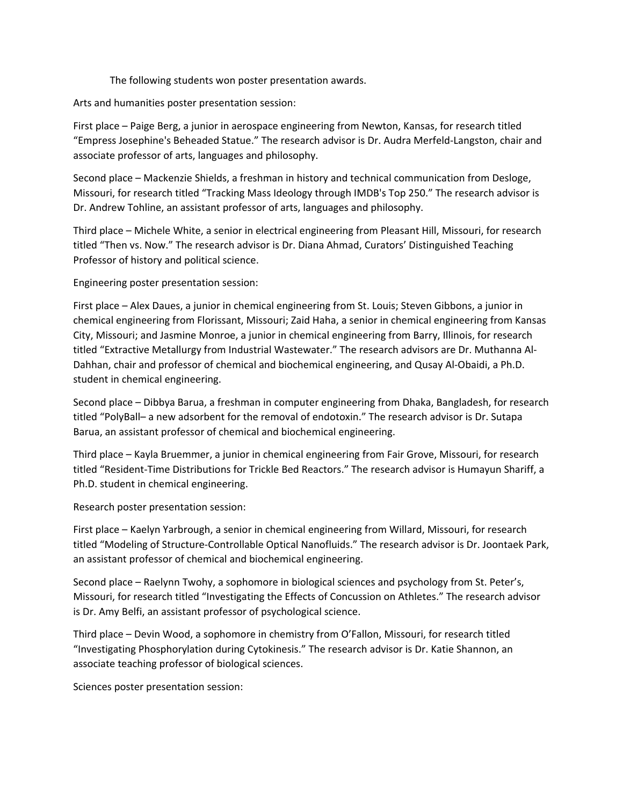The following students won poster presentation awards.

Arts and humanities poster presentation session:

First place – Paige Berg, a junior in aerospace engineering from Newton, Kansas, for research titled "Empress Josephine's Beheaded Statue." The research advisor is Dr. Audra Merfeld‐Langston, chair and associate professor of arts, languages and philosophy.

Second place – Mackenzie Shields, a freshman in history and technical communication from Desloge, Missouri, for research titled "Tracking Mass Ideology through IMDB's Top 250." The research advisor is Dr. Andrew Tohline, an assistant professor of arts, languages and philosophy.

Third place – Michele White, a senior in electrical engineering from Pleasant Hill, Missouri, for research titled "Then vs. Now." The research advisor is Dr. Diana Ahmad, Curators' Distinguished Teaching Professor of history and political science.

Engineering poster presentation session:

First place – Alex Daues, a junior in chemical engineering from St. Louis; Steven Gibbons, a junior in chemical engineering from Florissant, Missouri; Zaid Haha, a senior in chemical engineering from Kansas City, Missouri; and Jasmine Monroe, a junior in chemical engineering from Barry, Illinois, for research titled "Extractive Metallurgy from Industrial Wastewater." The research advisors are Dr. Muthanna Al‐ Dahhan, chair and professor of chemical and biochemical engineering, and Qusay Al‐Obaidi, a Ph.D. student in chemical engineering.

Second place – Dibbya Barua, a freshman in computer engineering from Dhaka, Bangladesh, for research titled "PolyBall– a new adsorbent for the removal of endotoxin." The research advisor is Dr. Sutapa Barua, an assistant professor of chemical and biochemical engineering.

Third place – Kayla Bruemmer, a junior in chemical engineering from Fair Grove, Missouri, for research titled "Resident‐Time Distributions for Trickle Bed Reactors." The research advisor is Humayun Shariff, a Ph.D. student in chemical engineering.

Research poster presentation session:

First place – Kaelyn Yarbrough, a senior in chemical engineering from Willard, Missouri, for research titled "Modeling of Structure‐Controllable Optical Nanofluids." The research advisor is Dr. Joontaek Park, an assistant professor of chemical and biochemical engineering.

Second place – Raelynn Twohy, a sophomore in biological sciences and psychology from St. Peter's, Missouri, for research titled "Investigating the Effects of Concussion on Athletes." The research advisor is Dr. Amy Belfi, an assistant professor of psychological science.

Third place – Devin Wood, a sophomore in chemistry from O'Fallon, Missouri, for research titled "Investigating Phosphorylation during Cytokinesis." The research advisor is Dr. Katie Shannon, an associate teaching professor of biological sciences.

Sciences poster presentation session: